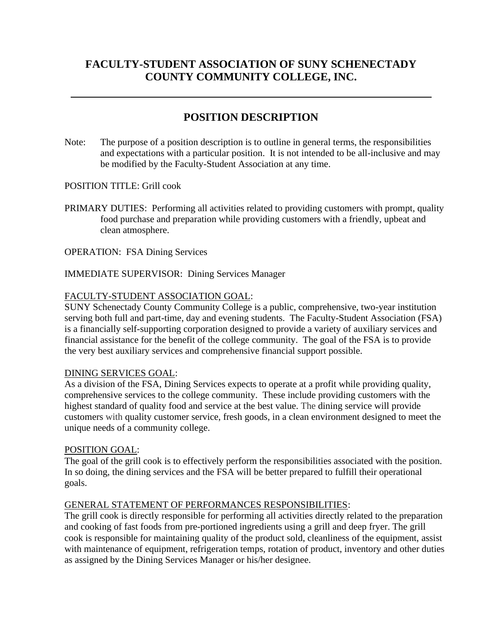# **FACULTY-STUDENT ASSOCIATION OF SUNY SCHENECTADY COUNTY COMMUNITY COLLEGE, INC.**

# **POSITION DESCRIPTION**

Note: The purpose of a position description is to outline in general terms, the responsibilities and expectations with a particular position. It is not intended to be all-inclusive and may be modified by the Faculty-Student Association at any time.

POSITION TITLE: Grill cook

PRIMARY DUTIES: Performing all activities related to providing customers with prompt, quality food purchase and preparation while providing customers with a friendly, upbeat and clean atmosphere.

OPERATION: FSA Dining Services

## IMMEDIATE SUPERVISOR: Dining Services Manager

## FACULTY-STUDENT ASSOCIATION GOAL:

SUNY Schenectady County Community College is a public, comprehensive, two-year institution serving both full and part-time, day and evening students. The Faculty-Student Association (FSA) is a financially self-supporting corporation designed to provide a variety of auxiliary services and financial assistance for the benefit of the college community. The goal of the FSA is to provide the very best auxiliary services and comprehensive financial support possible.

## DINING SERVICES GOAL:

As a division of the FSA, Dining Services expects to operate at a profit while providing quality, comprehensive services to the college community. These include providing customers with the highest standard of quality food and service at the best value. The dining service will provide customers with quality customer service, fresh goods, in a clean environment designed to meet the unique needs of a community college.

## POSITION GOAL:

The goal of the grill cook is to effectively perform the responsibilities associated with the position. In so doing, the dining services and the FSA will be better prepared to fulfill their operational goals.

## GENERAL STATEMENT OF PERFORMANCES RESPONSIBILITIES:

The grill cook is directly responsible for performing all activities directly related to the preparation and cooking of fast foods from pre-portioned ingredients using a grill and deep fryer. The grill cook is responsible for maintaining quality of the product sold, cleanliness of the equipment, assist with maintenance of equipment, refrigeration temps, rotation of product, inventory and other duties as assigned by the Dining Services Manager or his/her designee.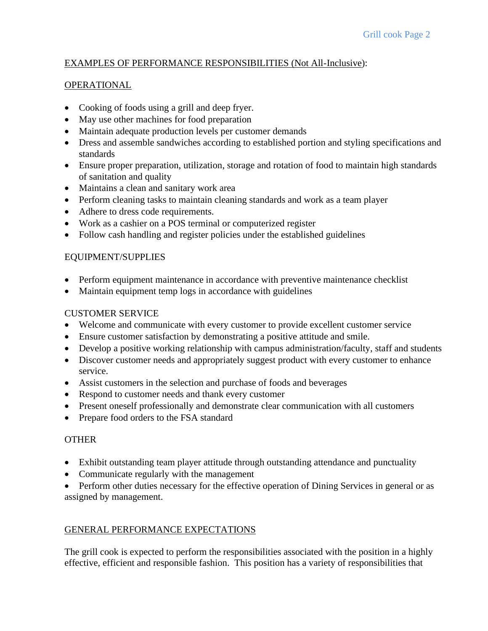## EXAMPLES OF PERFORMANCE RESPONSIBILITIES (Not All-Inclusive):

## OPERATIONAL

- Cooking of foods using a grill and deep fryer.
- May use other machines for food preparation
- Maintain adequate production levels per customer demands
- Dress and assemble sandwiches according to established portion and styling specifications and standards
- Ensure proper preparation, utilization, storage and rotation of food to maintain high standards of sanitation and quality
- Maintains a clean and sanitary work area
- Perform cleaning tasks to maintain cleaning standards and work as a team player
- Adhere to dress code requirements.
- Work as a cashier on a POS terminal or computerized register
- Follow cash handling and register policies under the established guidelines

# EQUIPMENT/SUPPLIES

- Perform equipment maintenance in accordance with preventive maintenance checklist
- Maintain equipment temp logs in accordance with guidelines

## CUSTOMER SERVICE

- Welcome and communicate with every customer to provide excellent customer service
- Ensure customer satisfaction by demonstrating a positive attitude and smile.
- Develop a positive working relationship with campus administration/faculty, staff and students
- Discover customer needs and appropriately suggest product with every customer to enhance service.
- Assist customers in the selection and purchase of foods and beverages
- Respond to customer needs and thank every customer
- Present oneself professionally and demonstrate clear communication with all customers
- Prepare food orders to the FSA standard

# **OTHER**

- Exhibit outstanding team player attitude through outstanding attendance and punctuality
- Communicate regularly with the management
- Perform other duties necessary for the effective operation of Dining Services in general or as assigned by management.

# GENERAL PERFORMANCE EXPECTATIONS

The grill cook is expected to perform the responsibilities associated with the position in a highly effective, efficient and responsible fashion. This position has a variety of responsibilities that